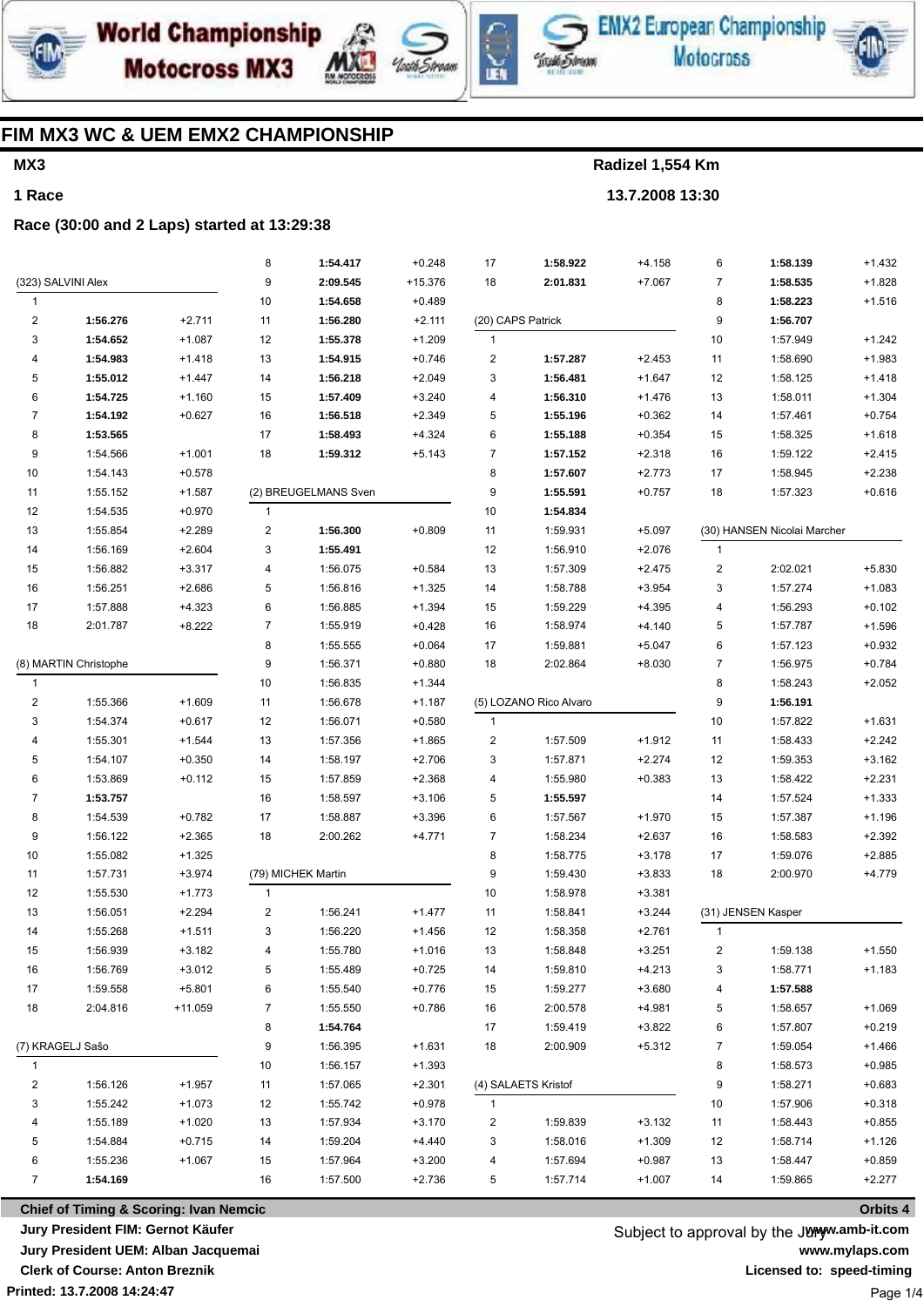

**Motocross MX3** 





**EMX2 European Championship Motocross** 



## **FIM MX3 WC & UEM EMX2 CHAMPIONSHIP**

# **MX3**

**1 Race**

**Radizel 1,554 Km 13.7.2008 13:30**

**Race (30:00 and 2 Laps) started at 13:29:38**

|                         |                    |          | 8                | 1:54.417             | $+0.248$  | 17                | 1:58.922               | $+4.158$ | 6              | 1:58.139                    | $+1.432$ |
|-------------------------|--------------------|----------|------------------|----------------------|-----------|-------------------|------------------------|----------|----------------|-----------------------------|----------|
|                         | (323) SALVINI Alex |          | 9                | 2:09.545             | $+15.376$ | 18                | 2:01.831               | $+7.067$ | $\overline{7}$ | 1:58.535                    | $+1.828$ |
| $\mathbf{1}$            |                    |          | 10               | 1:54.658             | $+0.489$  |                   |                        |          | 8              | 1:58.223                    | $+1.516$ |
| $\overline{c}$          | 1:56.276           | $+2.711$ | 11               | 1:56.280             | $+2.111$  | (20) CAPS Patrick |                        |          | 9              | 1:56.707                    |          |
| 3                       | 1:54.652           | $+1.087$ | 12               | 1:55.378             | $+1.209$  | $\mathbf{1}$      |                        |          | 10             | 1:57.949                    | $+1.242$ |
| 4                       | 1:54.983           | $+1.418$ | 13               | 1:54.915             | $+0.746$  | $\overline{c}$    | 1:57.287               | $+2.453$ | 11             | 1:58.690                    | $+1.983$ |
| 5                       | 1:55.012           | $+1.447$ | 14               | 1:56.218             | $+2.049$  | 3                 | 1:56.481               | $+1.647$ | 12             | 1:58.125                    | $+1.418$ |
| 6                       | 1:54.725           | $+1.160$ | 15               | 1:57.409             | $+3.240$  | 4                 | 1:56.310               | $+1.476$ | 13             | 1:58.011                    | $+1.304$ |
| 7                       | 1:54.192           | $+0.627$ | 16               | 1:56.518             | $+2.349$  | 5                 | 1:55.196               | $+0.362$ | 14             | 1:57.461                    | $+0.754$ |
| 8                       | 1:53.565           |          | 17               | 1:58.493             | $+4.324$  | 6                 | 1:55.188               | $+0.354$ | 15             | 1:58.325                    | $+1.618$ |
| 9                       | 1:54.566           | $+1.001$ | 18               | 1:59.312             | $+5.143$  | 7                 | 1:57.152               | $+2.318$ | 16             | 1:59.122                    | $+2.415$ |
| 10                      | 1:54.143           | $+0.578$ |                  |                      |           | 8                 | 1:57.607               | $+2.773$ | 17             | 1:58.945                    | $+2.238$ |
| 11                      | 1:55.152           | $+1.587$ |                  | (2) BREUGELMANS Sven |           | 9                 | 1:55.591               | $+0.757$ | 18             | 1:57.323                    | $+0.616$ |
| 12                      | 1:54.535           | $+0.970$ | 1                |                      |           | 10                | 1:54.834               |          |                |                             |          |
| 13                      | 1:55.854           | $+2.289$ | $\mathbf 2$      | 1:56.300             | $+0.809$  | 11                | 1:59.931               | $+5.097$ |                | (30) HANSEN Nicolai Marcher |          |
| 14                      | 1:56.169           | $+2.604$ | 3                | 1:55.491             |           | 12                | 1:56.910               | $+2.076$ | $\mathbf{1}$   |                             |          |
| 15                      | 1:56.882           | $+3.317$ | 4                | 1:56.075             | $+0.584$  | 13                | 1:57.309               | $+2.475$ | $\overline{c}$ | 2:02.021                    | $+5.830$ |
| 16                      | 1:56.251           | $+2.686$ | 5                | 1:56.816             | $+1.325$  | 14                | 1:58.788               | $+3.954$ | 3              | 1:57.274                    | $+1.083$ |
| 17                      | 1:57.888           | $+4.323$ | 6                | 1:56.885             | $+1.394$  | 15                | 1:59.229               | $+4.395$ | 4              | 1:56.293                    | $+0.102$ |
| 18                      | 2:01.787           | $+8.222$ | $\overline{7}$   | 1:55.919             | $+0.428$  | 16                | 1:58.974               | $+4.140$ | 5              | 1:57.787                    | $+1.596$ |
|                         |                    |          | 8                | 1:55.555             | $+0.064$  | 17                | 1:59.881               | $+5.047$ | 6              | 1:57.123                    | $+0.932$ |
| (8) MARTIN Christophe   |                    |          | 9                | 1:56.371             | $+0.880$  | 18                | 2:02.864               | $+8.030$ | $\overline{7}$ | 1:56.975                    | $+0.784$ |
| 1                       |                    |          | 10               | 1:56.835             | $+1.344$  |                   |                        |          | 8              | 1:58.243                    | $+2.052$ |
| $\overline{\mathbf{c}}$ | 1:55.366           | $+1.609$ | 11               | 1:56.678             | $+1.187$  |                   | (5) LOZANO Rico Alvaro |          | 9              | 1:56.191                    |          |
| 3                       | 1:54.374           | $+0.617$ | 12               | 1:56.071             | $+0.580$  | 1                 |                        |          | 10             | 1:57.822                    | $+1.631$ |
| 4                       | 1:55.301           | $+1.544$ | 13               | 1:57.356             | $+1.865$  | $\overline{c}$    | 1:57.509               | $+1.912$ | 11             | 1:58.433                    | $+2.242$ |
| 5                       | 1:54.107           | $+0.350$ | 14               | 1:58.197             | $+2.706$  | 3                 | 1:57.871               | $+2.274$ | 12             | 1:59.353                    | $+3.162$ |
| 6                       | 1:53.869           | $+0.112$ | 15               | 1:57.859             | $+2.368$  | 4                 | 1:55.980               | $+0.383$ | 13             | 1:58.422                    | $+2.231$ |
| 7                       | 1:53.757           |          | 16               | 1:58.597             | $+3.106$  | 5                 | 1:55.597               |          | 14             | 1:57.524                    | $+1.333$ |
| 8                       | 1:54.539           | $+0.782$ | 17               | 1:58.887             | $+3.396$  | 6                 | 1:57.567               | $+1.970$ | 15             | 1:57.387                    | $+1.196$ |
| 9                       | 1:56.122           | $+2.365$ | 18               | 2:00.262             | $+4.771$  | 7                 | 1:58.234               | $+2.637$ | 16             | 1:58.583                    | $+2.392$ |
| 10                      | 1:55.082           | $+1.325$ |                  |                      |           | 8                 | 1:58.775               | $+3.178$ | 17             | 1:59.076                    | $+2.885$ |
| 11                      | 1:57.731           | $+3.974$ |                  | (79) MICHEK Martin   |           | 9                 | 1:59.430               | $+3.833$ | 18             | 2:00.970                    | $+4.779$ |
| 12                      | 1:55.530           | $+1.773$ | $\mathbf{1}$     |                      |           | 10                | 1:58.978               | $+3.381$ |                |                             |          |
| 13                      | 1:56.051           | $+2.294$ | $\boldsymbol{2}$ | 1:56.241             | $+1.477$  | 11                | 1:58.841               | $+3.244$ |                | (31) JENSEN Kasper          |          |
| 14                      | 1:55.268           | $+1.511$ | 3                | 1:56.220             | $+1.456$  | 12                | 1:58.358               | $+2.761$ | 1              |                             |          |
| 15                      | 1:56.939           | $+3.182$ | 4                | 1:55.780             | $+1.016$  | 13                | 1:58.848               | $+3.251$ | 2              | 1:59.138                    | $+1.550$ |
| 16                      | 1:56.769           | $+3.012$ | 5                | 1:55.489             | $+0.725$  | 14                | 1:59.810               | $+4.213$ | 3              | 1:58.771                    | +1.183   |
| 17                      | 1:59.558           | $+5.801$ | 6                | 1:55.540             | $+0.776$  | 15                | 1:59.277               | $+3.680$ | 4              | 1:57.588                    |          |
| 18                      | 2:04.816           | +11.059  | 7                | 1:55.550             | $+0.786$  | 16                | 2:00.578               | $+4.981$ | 5              | 1:58.657                    | $+1.069$ |
|                         |                    |          | 8                | 1:54.764             |           | 17                | 1:59.419               | $+3.822$ | 6              | 1:57.807                    | $+0.219$ |
|                         | (7) KRAGELJ Sašo   |          | 9                | 1:56.395             | $+1.631$  | 18                | 2:00.909               | $+5.312$ | 7              | 1:59.054                    | $+1.466$ |
| 1                       |                    |          | 10               | 1:56.157             | $+1.393$  |                   |                        |          | 8              | 1:58.573                    | $+0.985$ |
| 2                       | 1:56.126           | $+1.957$ | 11               | 1:57.065             | $+2.301$  |                   | (4) SALAETS Kristof    |          | 9              | 1:58.271                    | $+0.683$ |
| 3                       | 1:55.242           | $+1.073$ | 12               | 1:55.742             | $+0.978$  | $\mathbf{1}$      |                        |          | 10             | 1:57.906                    | $+0.318$ |
| 4                       | 1:55.189           | $+1.020$ | 13               | 1:57.934             | $+3.170$  | 2                 | 1:59.839               | $+3.132$ | 11             | 1:58.443                    | $+0.855$ |
| 5                       | 1:54.884           | $+0.715$ | 14               | 1:59.204             | +4.440    | 3                 | 1:58.016               | $+1.309$ | 12             | 1:58.714                    | +1.126   |
| 6                       | 1:55.236           | $+1.067$ | 15               | 1:57.964             | $+3.200$  | 4                 | 1:57.694               | $+0.987$ | 13             | 1:58.447                    | $+0.859$ |
| $\overline{7}$          | 1:54.169           |          | 16               | 1:57.500             | $+2.736$  | 5                 | 1:57.714               | $+1.007$ | 14             | 1:59.865                    | $+2.277$ |
|                         |                    |          |                  |                      |           |                   |                        |          |                |                             |          |

**Printed: 13.7.2008 14:24:47 Chief of Timing & Scoring: Ivan Nemcic Jury President FIM: Gernot Käufer Jury President UEM: Alban Jacquemai Clerk of Course: Anton Breznik**

Subject to approval by the Juryw.amb-it.com **www.mylaps.com Licensed to: speed-timing** Page 1/4

**Orbits 4**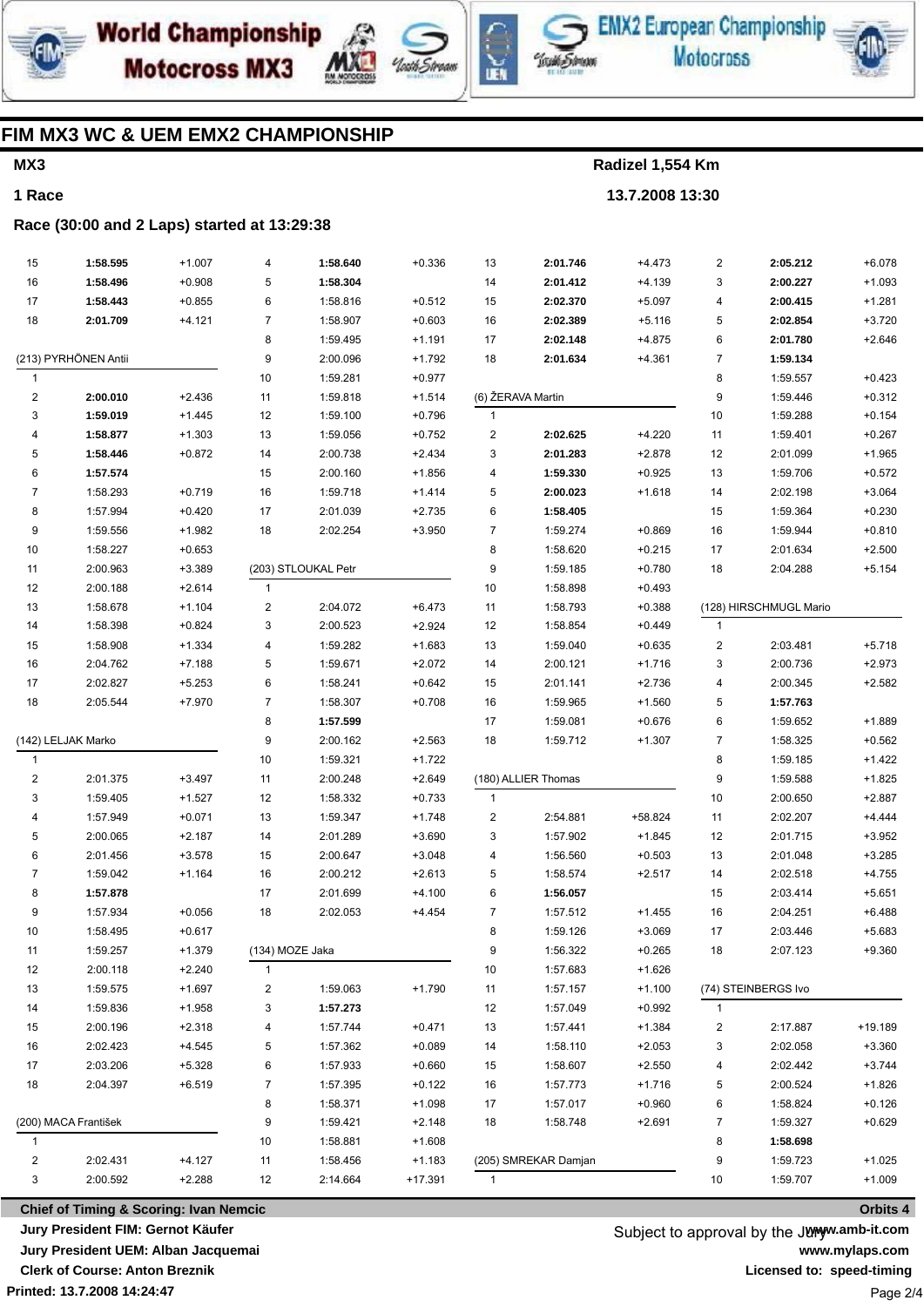





**EMX2 European Championship Motocross** 



## **FIM MX3 WC & UEM EMX2 CHAMPIONSHIP**

## **MX3**

**1 Race**

**Radizel 1,554 Km**

**13.7.2008 13:30**

### **Race (30:00 and 2 Laps) started at 13:29:38**

| 15                      | 1:58.595             | $+1.007$             | 4               | 1:58.640            | $+0.336$              | 13           | 2:01.746             | $+4.473$ | $\overline{2}$          | 2:05.212               | $+6.078$             |
|-------------------------|----------------------|----------------------|-----------------|---------------------|-----------------------|--------------|----------------------|----------|-------------------------|------------------------|----------------------|
| 16                      | 1:58.496             | $+0.908$             | 5               | 1:58.304            |                       | 14           | 2:01.412             | $+4.139$ | 3                       | 2:00.227               | $+1.093$             |
| 17                      | 1:58.443             | $+0.855$             | 6               | 1:58.816            | $+0.512$              | 15           | 2:02.370             | $+5.097$ | 4                       | 2:00.415               | $+1.281$             |
| 18                      | 2:01.709             | $+4.121$             | 7               | 1:58.907            | $+0.603$              | 16           | 2:02.389             | $+5.116$ | 5                       | 2:02.854               | $+3.720$             |
|                         |                      |                      | 8               | 1:59.495            | $+1.191$              | 17           | 2:02.148             | $+4.875$ | 6                       | 2:01.780               | $+2.646$             |
| (213) PYRHÖNEN Antii    |                      |                      | 9               | 2:00.096            | $+1.792$              | 18           | 2:01.634             | $+4.361$ | 7                       | 1:59.134               |                      |
| 1                       |                      |                      | 10              | 1:59.281            | $+0.977$              |              |                      |          | 8                       | 1:59.557               | $+0.423$             |
| 2                       | 2:00.010             | $+2.436$             | 11              | 1:59.818            | $+1.514$              |              | (6) ŽERAVA Martin    |          | 9                       | 1:59.446               | $+0.312$             |
| 3                       | 1:59.019             | $+1.445$             | 12              | 1:59.100            | $+0.796$              | $\mathbf{1}$ |                      |          | 10                      | 1:59.288               | $+0.154$             |
| 4                       | 1:58.877             | $+1.303$             | 13              | 1:59.056            | $+0.752$              | 2            | 2:02.625             | $+4.220$ | 11                      | 1:59.401               | $+0.267$             |
| 5                       | 1:58.446             | $+0.872$             | 14              | 2:00.738            | $+2.434$              | 3            | 2:01.283             | $+2.878$ | 12                      | 2:01.099               | $+1.965$             |
| 6                       | 1:57.574             |                      | 15              | 2:00.160            | $+1.856$              | 4            | 1:59.330             | $+0.925$ | 13                      | 1:59.706               | $+0.572$             |
| 7                       | 1:58.293             | $+0.719$             | 16              | 1:59.718            | $+1.414$              | 5            | 2:00.023             | $+1.618$ | 14                      | 2:02.198               | $+3.064$             |
| 8                       | 1:57.994             | $+0.420$             | 17              | 2:01.039            | $+2.735$              | 6            | 1:58.405             |          | 15                      | 1:59.364               | $+0.230$             |
| 9                       | 1:59.556             | $+1.982$             | 18              | 2:02.254            | $+3.950$              | 7            | 1:59.274             | $+0.869$ | 16                      | 1:59.944               | $+0.810$             |
| 10                      | 1:58.227             | $+0.653$             |                 |                     |                       | 8            | 1:58.620             | $+0.215$ | 17                      | 2:01.634               | $+2.500$             |
| 11                      | 2:00.963             | $+3.389$             |                 | (203) STLOUKAL Petr |                       | 9            | 1:59.185             | $+0.780$ | 18                      | 2:04.288               | $+5.154$             |
| 12                      | 2:00.188             | $+2.614$             | $\mathbf{1}$    |                     |                       | 10           | 1:58.898             | $+0.493$ |                         |                        |                      |
| 13                      | 1:58.678             | $+1.104$             | 2               | 2:04.072            | $+6.473$              | 11           | 1:58.793             | $+0.388$ |                         | (128) HIRSCHMUGL Mario |                      |
| 14                      | 1:58.398             | $+0.824$             | 3               | 2:00.523            | $+2.924$              | 12           | 1:58.854             | $+0.449$ | $\mathbf{1}$            |                        |                      |
| 15                      | 1:58.908             | $+1.334$             | 4               | 1:59.282            | $+1.683$              | 13           | 1:59.040             | $+0.635$ | $\overline{\mathbf{c}}$ | 2:03.481               | $+5.718$             |
| 16                      | 2:04.762             | $+7.188$             | 5               | 1:59.671            | $+2.072$              | 14           | 2:00.121             | $+1.716$ | 3                       | 2:00.736               | $+2.973$             |
| 17                      | 2:02.827             | $+5.253$             | 6               | 1:58.241            | $+0.642$              | 15           | 2:01.141             | $+2.736$ | 4                       | 2:00.345               | $+2.582$             |
| 18                      | 2:05.544             | $+7.970$             | 7               | 1:58.307            | $+0.708$              | 16           | 1:59.965             | $+1.560$ | 5                       | 1:57.763               |                      |
|                         |                      |                      | 8               | 1:57.599            |                       | 17           | 1:59.081             | $+0.676$ | 6                       | 1:59.652               | $+1.889$             |
|                         | (142) LELJAK Marko   |                      | 9               | 2:00.162            | $+2.563$              | 18           | 1:59.712             | $+1.307$ | 7                       | 1:58.325               | $+0.562$             |
| $\mathbf{1}$            |                      |                      | 10              | 1:59.321            | $+1.722$              |              |                      |          | 8                       | 1:59.185               | $+1.422$             |
| 2                       | 2:01.375             | $+3.497$             | 11              | 2:00.248            | $+2.649$              |              | (180) ALLIER Thomas  |          | 9                       | 1:59.588               | $+1.825$             |
| 3                       | 1:59.405             | $+1.527$             | 12              | 1:58.332            | $+0.733$              | 1            |                      |          | 10                      | 2:00.650               | $+2.887$             |
| 4                       | 1:57.949             | $+0.071$             | 13              | 1:59.347            | $+1.748$              | 2            | 2:54.881             | +58.824  | 11                      | 2:02.207               | $+4.444$             |
| 5                       | 2:00.065             | $+2.187$             | 14              | 2:01.289            | $+3.690$              | 3            | 1:57.902             | $+1.845$ | 12                      | 2:01.715               | $+3.952$             |
| 6                       | 2:01.456             | $+3.578$             | 15              | 2:00.647            | $+3.048$              | 4            | 1:56.560             | $+0.503$ | 13                      | 2:01.048               | $+3.285$             |
| 7                       | 1:59.042             | $+1.164$             | 16              | 2:00.212            | $+2.613$              | 5            | 1:58.574             | $+2.517$ | 14                      | 2:02.518               | $+4.755$             |
| 8                       | 1:57.878             |                      | 17              | 2:01.699            | $+4.100$              | 6            | 1:56.057             |          | 15                      | 2:03.414               | $+5.651$             |
| 9                       | 1:57.934             | $+0.056$             | 18              | 2:02.053            | $+4.454$              | 7            | 1:57.512             | $+1.455$ | 16                      | 2:04.251               | $+6.488$             |
| 10                      | 1:58.495             | $+0.617$             |                 |                     |                       | 8            | 1:59.126             | $+3.069$ | 17                      | 2:03.446               | $+5.683$             |
| 11                      | 1:59.257             | $+1.379$             | (134) MOZE Jaka |                     |                       | 9            | 1:56.322             | $+0.265$ | 18                      | 2:07.123               | $+9.360$             |
| 12                      | 2:00.118             | $+2.240$             | 1               |                     |                       | 10           | 1:57.683             | $+1.626$ |                         |                        |                      |
| 13                      | 1:59.575             | $+1.697$             | 2               | 1:59.063            | $+1.790$              | 11           | 1:57.157             | $+1.100$ |                         | (74) STEINBERGS Ivo    |                      |
|                         |                      |                      |                 |                     |                       | 12           | 1:57.049             | $+0.992$ | $\mathbf{1}$            |                        |                      |
| 14                      | 1:59.836             | $+1.958$             | 3               | 1:57.273            |                       |              |                      |          |                         |                        |                      |
| 15                      | 2:00.196             | $+2.318$             | 4               | 1:57.744            | $+0.471$              | 13           | 1:57.441             | $+1.384$ | 2                       | 2:17.887               | $+19.189$            |
| 16                      | 2:02.423             | $+4.545$             | 5               | 1:57.362            | $+0.089$              | 14           | 1:58.110             | $+2.053$ | 3                       | 2:02.058               | $+3.360$             |
| 17                      | 2:03.206             | $+5.328$             | 6               | 1:57.933            | $+0.660$              | 15           | 1:58.607             | $+2.550$ | 4                       | 2:02.442               | $+3.744$             |
| 18                      | 2:04.397             | $+6.519$             | 7               | 1:57.395            | $+0.122$              | 16           | 1:57.773             | $+1.716$ | 5                       | 2:00.524               | $+1.826$             |
|                         |                      |                      | 8               | 1:58.371            | $+1.098$              | 17           | 1:57.017             | $+0.960$ | 6                       | 1:58.824               | $+0.126$             |
|                         | (200) MACA František |                      | 9               | 1:59.421            | $+2.148$              | 18           | 1:58.748             | $+2.691$ | 7                       | 1:59.327               | $+0.629$             |
| $\mathbf{1}$            |                      |                      | 10              | 1:58.881            | $+1.608$              |              |                      |          | 8                       | 1:58.698               |                      |
| $\overline{\mathbf{c}}$ | 2:02.431             | $+4.127$<br>$+2.288$ | 11<br>12        | 1:58.456            | $+1.183$<br>$+17.391$ |              | (205) SMREKAR Damjan |          | 9<br>10                 | 1:59.723<br>1:59.707   | $+1.025$<br>$+1.009$ |

**Printed: 13.7.2008 14:24:47 Chief of Timing & Scoring: Ivan Nemcic Jury President FIM: Gernot Käufer Jury President UEM: Alban Jacquemai Clerk of Course: Anton Breznik**

Subject to approval by the Juryw.amb-it.com **www.mylaps.com Licensed to: speed-timing** Page 2/4

**Orbits 4**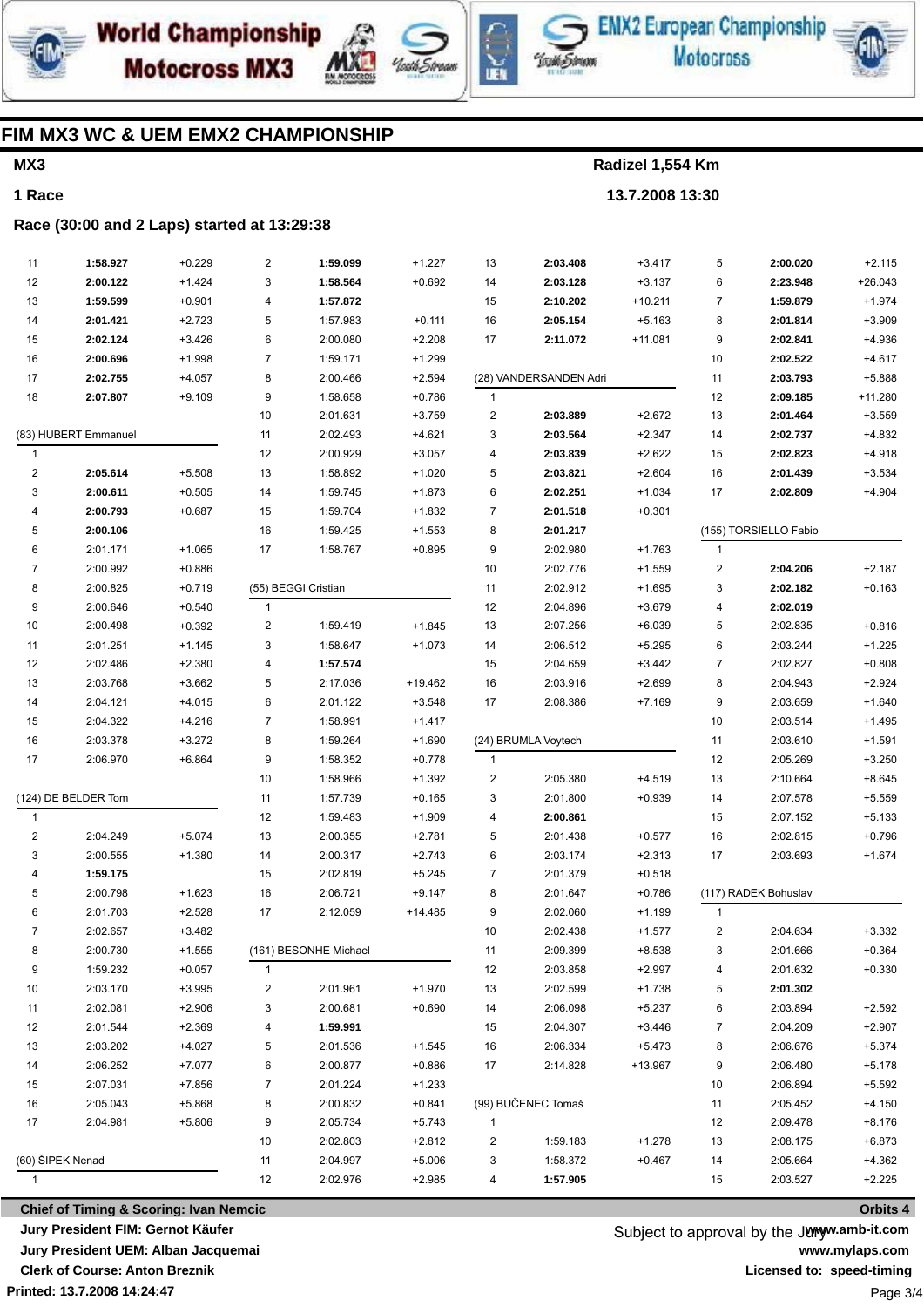





EMX2 European Championship **Motocross** 



### FIM MX3 WC & UEM EMX2 CHAMPIONSHIP

### MX3

1 Race

Radizel 1,554 Km

13.7.2008 13:30

#### Race (30:00 and 2 Laps) started at 13:29:38

| 11                   | 1:58.927                                          | $+0.229$ | 2              | 1:59.099              | $+1.227$  | 13                      | 2:03.408               | $+3.417$  | 5              | 2:00.020              | $+2.115$  |
|----------------------|---------------------------------------------------|----------|----------------|-----------------------|-----------|-------------------------|------------------------|-----------|----------------|-----------------------|-----------|
| 12                   | 2:00.122                                          | $+1.424$ | 3              | 1:58.564              | $+0.692$  | 14                      | 2:03.128               | $+3.137$  | 6              | 2:23.948              | $+26.043$ |
| 13                   | 1:59.599                                          | $+0.901$ | 4              | 1:57.872              |           | 15                      | 2:10.202               | $+10.211$ | $\overline{7}$ | 1:59.879              | $+1.974$  |
| 14                   | 2:01.421                                          | $+2.723$ | 5              | 1:57.983              | $+0.111$  | 16                      | 2:05.154               | $+5.163$  | 8              | 2:01.814              | $+3.909$  |
| 15                   | 2:02.124                                          | $+3.426$ | 6              | 2:00.080              | $+2.208$  | 17                      | 2:11.072               | $+11.081$ | 9              | 2:02.841              | $+4.936$  |
| 16                   | 2:00.696                                          | $+1.998$ | $\overline{7}$ | 1:59.171              | $+1.299$  |                         |                        |           | 10             | 2:02.522              | $+4.617$  |
| 17                   | 2:02.755                                          | $+4.057$ | 8              | 2:00.466              | $+2.594$  |                         | (28) VANDERSANDEN Adri |           | 11             | 2:03.793              | $+5.888$  |
| 18                   | 2:07.807                                          | $+9.109$ | 9              | 1:58.658              | $+0.786$  | $\mathbf{1}$            |                        |           | 12             | 2:09.185              | +11.280   |
|                      |                                                   |          | 10             | 2:01.631              | $+3.759$  | $\overline{\mathbf{c}}$ | 2:03.889               | $+2.672$  | 13             | 2:01.464              | $+3.559$  |
| (83) HUBERT Emmanuel |                                                   |          | 11             | 2:02.493              | $+4.621$  | 3                       | 2:03.564               | $+2.347$  | 14             | 2:02.737              | $+4.832$  |
| $\mathbf{1}$         |                                                   |          | 12             | 2:00.929              | $+3.057$  | 4                       | 2:03.839               | $+2.622$  | 15             | 2:02.823              | $+4.918$  |
| $\overline{c}$       | 2:05.614                                          | $+5.508$ | 13             | 1:58.892              | $+1.020$  | 5                       | 2:03.821               | $+2.604$  | 16             | 2:01.439              | $+3.534$  |
| 3                    | 2:00.611                                          | $+0.505$ | 14             | 1:59.745              | $+1.873$  | 6                       | 2:02.251               | $+1.034$  | 17             | 2:02.809              | $+4.904$  |
| 4                    | 2:00.793                                          | $+0.687$ | 15             | 1:59.704              | $+1.832$  | 7                       | 2:01.518               | $+0.301$  |                |                       |           |
| 5                    | 2:00.106                                          |          | 16             | 1:59.425              | $+1.553$  | 8                       | 2:01.217               |           |                | (155) TORSIELLO Fabio |           |
| 6                    | 2:01.171                                          | $+1.065$ | 17             | 1:58.767              | $+0.895$  | 9                       | 2:02.980               | $+1.763$  | $\mathbf{1}$   |                       |           |
| 7                    | 2:00.992                                          | $+0.886$ |                |                       |           | 10                      | 2:02.776               | $+1.559$  | 2              | 2:04.206              | $+2.187$  |
| 8                    | 2:00.825                                          | $+0.719$ |                | (55) BEGGI Cristian   |           | 11                      | 2:02.912               | $+1.695$  | 3              | 2:02.182              | $+0.163$  |
| 9                    | 2:00.646                                          | $+0.540$ | $\mathbf{1}$   |                       |           | 12                      | 2:04.896               | $+3.679$  | 4              | 2:02.019              |           |
| 10                   | 2:00.498                                          | $+0.392$ | $\overline{c}$ | 1:59.419              | $+1.845$  | 13                      | 2:07.256               | $+6.039$  | 5              | 2:02.835              | $+0.816$  |
| 11                   | 2:01.251                                          | $+1.145$ | 3              | 1:58.647              | $+1.073$  | 14                      | 2:06.512               | $+5.295$  | 6              | 2:03.244              | $+1.225$  |
| 12                   | 2:02.486                                          | $+2.380$ | 4              | 1:57.574              |           | 15                      | 2:04.659               | $+3.442$  | $\overline{7}$ | 2:02.827              | $+0.808$  |
| 13                   | 2:03.768                                          | $+3.662$ | 5              | 2:17.036              | +19.462   | 16                      | 2:03.916               | $+2.699$  | 8              | 2:04.943              | $+2.924$  |
| 14                   | 2:04.121                                          | $+4.015$ | 6              | 2:01.122              | $+3.548$  | 17                      | 2:08.386               | $+7.169$  | 9              | 2:03.659              | $+1.640$  |
| 15                   | 2:04.322                                          | $+4.216$ | $\overline{7}$ | 1:58.991              | $+1.417$  |                         |                        |           | 10             | 2:03.514              | $+1.495$  |
| 16                   | 2:03.378                                          | $+3.272$ | 8              | 1:59.264              | $+1.690$  |                         | (24) BRUMLA Voytech    |           | 11             | 2:03.610              | $+1.591$  |
| 17                   | 2:06.970                                          | $+6.864$ | 9              | 1:58.352              | $+0.778$  | $\mathbf{1}$            |                        |           | 12             | 2:05.269              | $+3.250$  |
|                      |                                                   |          | 10             | 1:58.966              | $+1.392$  | $\overline{\mathbf{c}}$ | 2:05.380               | $+4.519$  | 13             | 2:10.664              | $+8.645$  |
| (124) DE BELDER Tom  |                                                   | 11       | 1:57.739       | $+0.165$              | 3         | 2:01.800                | $+0.939$               | 14        | 2:07.578       | $+5.559$              |           |
| $\mathbf{1}$         |                                                   |          | 12             | 1:59.483              | $+1.909$  | 4                       | 2:00.861               |           | 15             | 2:07.152              | $+5.133$  |
| $\overline{c}$       | 2:04.249                                          | $+5.074$ | 13             | 2:00.355              | $+2.781$  | 5                       | 2:01.438               | $+0.577$  | 16             | 2:02.815              | $+0.796$  |
| 3                    | 2:00.555                                          | $+1.380$ | 14             | 2:00.317              | $+2.743$  | 6                       | 2:03.174               | $+2.313$  | 17             | 2:03.693              | $+1.674$  |
| 4                    | 1:59.175                                          |          | 15             | 2:02.819              | $+5.245$  | $\overline{7}$          | 2:01.379               | $+0.518$  |                |                       |           |
| 5                    | 2:00.798                                          | $+1.623$ | 16             | 2:06.721              | $+9.147$  | 8                       | 2:01.647               | $+0.786$  |                | (117) RADEK Bohuslav  |           |
| 6                    | 2:01.703                                          | $+2.528$ | 17             | 2:12.059              | $+14.485$ | 9                       | 2:02.060               | $+1.199$  | $\mathbf{1}$   |                       |           |
| $\overline{7}$       | 2:02.657                                          | $+3.482$ |                |                       |           | 10                      | 2:02.438               | $+1.577$  | 2              | 2:04.634              | $+3.332$  |
| 8                    | 2:00.730                                          | $+1.555$ |                | (161) BESONHE Michael |           | 11                      | 2:09.399               | $+8.538$  | 3              | 2:01.666              | $+0.364$  |
| 9                    | 1:59.232                                          | $+0.057$ | $\mathbf{1}$   |                       |           | 12                      | 2:03.858               | $+2.997$  | 4              | 2:01.632              | $+0.330$  |
| 10                   | 2:03.170                                          | $+3.995$ | 2              | 2:01.961              | $+1.970$  | 13                      | 2:02.599               | $+1.738$  | 5              | 2:01.302              |           |
| 11                   | 2:02.081                                          | $+2.906$ | 3              | 2:00.681              | $+0.690$  | 14                      | 2:06.098               | $+5.237$  | 6              | 2:03.894              | $+2.592$  |
| 12                   | 2:01.544                                          | $+2.369$ | 4              | 1:59.991              |           | 15                      | 2:04.307               | $+3.446$  | 7              | 2:04.209              | $+2.907$  |
| 13                   | 2:03.202                                          | +4.027   | 5              | 2:01.536              | $+1.545$  | 16                      | 2:06.334               | $+5.473$  | 8              | 2:06.676              | $+5.374$  |
| 14                   | 2:06.252                                          | $+7.077$ | 6              | 2:00.877              | $+0.886$  | 17                      | 2:14.828               | +13.967   | 9              | 2:06.480              | $+5.178$  |
| 15                   | 2:07.031                                          | $+7.856$ | 7              | 2:01.224              | $+1.233$  |                         |                        |           | 10             | 2:06.894              | $+5.592$  |
| 16                   | 2:05.043                                          | $+5.868$ | 8              | 2:00.832              | $+0.841$  |                         | (99) BUČENEC Tomaš     |           | 11             | 2:05.452              | $+4.150$  |
| 17                   | 2:04.981                                          | $+5.806$ | 9              | 2:05.734              | $+5.743$  | $\mathbf{1}$            |                        |           | 12             | 2:09.478              | $+8.176$  |
|                      |                                                   |          | 10             | 2:02.803              | $+2.812$  | 2                       | 1:59.183               | $+1.278$  | 13             | 2:08.175              | $+6.873$  |
| (60) ŠIPEK Nenad     |                                                   |          | 11             | 2:04.997              | $+5.006$  | 3                       | 1:58.372               | $+0.467$  | 14             | 2:05.664              | $+4.362$  |
| 1                    |                                                   |          | 12             | 2:02.976              | $+2.985$  | 4                       | 1:57.905               |           | 15             | 2:03.527              | $+2.225$  |
|                      |                                                   |          |                |                       |           |                         |                        |           |                |                       |           |
|                      | <b>Chief of Timing &amp; Scoring: Ivan Nemcic</b> |          |                |                       |           |                         |                        |           |                |                       | Orbits 4  |

**Chief of Timing & Scoring: Ivan Nemcic** Jury President FIM: Gernot Käufer Jury President UEM: Alban Jacquemai

**Clerk of Course: Anton Breznik** 

Printed: 13.7.2008 14:24:47

Subject to approval by the Junyw.amb-it.com www.mylaps.com Licensed to: speed-timing Page 3/4